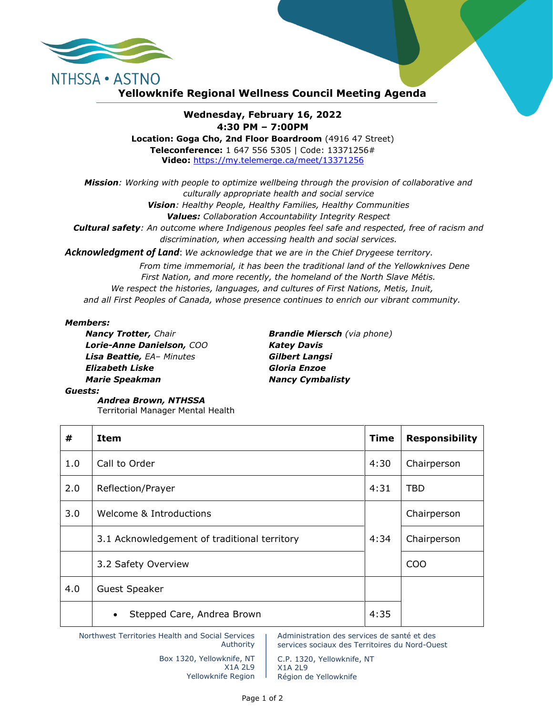

## **Yellowknife Regional Wellness Council Meeting Agenda**

## **Wednesday, February 16, 2022 4:30 PM – 7:00PM**

**Location: Goga Cho, 2nd Floor Boardroom** (4916 47 Street) **Teleconference:** 1 647 556 5305 | Code: 13371256# **Video:** <https://my.telemerge.ca/meet/13371256>

*Mission: Working with people to optimize wellbeing through the provision of collaborative and culturally appropriate health and social service Vision: Healthy People, Healthy Families, Healthy Communities Values: Collaboration Accountability Integrity Respect Cultural safety: An outcome where Indigenous peoples feel safe and respected, free of racism and discrimination, when accessing health and social services.*

*Acknowledgment of Land*: *We acknowledge that we are in the Chief Drygeese territory.*

*From time immemorial, it has been the traditional land of the Yellowknives Dene First Nation, and more recently, the homeland of the North Slave Métis. We respect the histories, languages, and cultures of First Nations, Metis, Inuit, and all First Peoples of Canada, whose presence continues to enrich our vibrant community.*

## *Members:*

*Lorie-Anne Danielson, COO Katey Davis Lisa Beattie, EA– Minutes Gilbert Langsi Elizabeth Liske Gloria Enzoe Marie Speakman Nancy Cymbalisty*

*Nancy Trotter, Chair Brandie Miersch (via phone)*

*Guests:*

*Andrea Brown, NTHSSA*  Territorial Manager Mental Health

| #   | <b>Item</b>                                  | <b>Time</b> | <b>Responsibility</b> |
|-----|----------------------------------------------|-------------|-----------------------|
| 1.0 | Call to Order                                | 4:30        | Chairperson           |
| 2.0 | Reflection/Prayer                            | 4:31        | <b>TBD</b>            |
| 3.0 | Welcome & Introductions                      |             | Chairperson           |
|     | 3.1 Acknowledgement of traditional territory | 4:34        | Chairperson           |
|     | 3.2 Safety Overview                          |             | COO                   |
| 4.0 | <b>Guest Speaker</b>                         |             |                       |
|     | Stepped Care, Andrea Brown<br>$\bullet$      | 4:35        |                       |

Northwest Territories Health and Social Services Authority

> Box 1320, Yellowknife, NT X1A 2L9 Yellowknife Region

Administration des services de santé et des services sociaux des Territoires du Nord-Ouest

C.P. 1320, Yellowknife, NT X1A 2L9 Région de Yellowknife